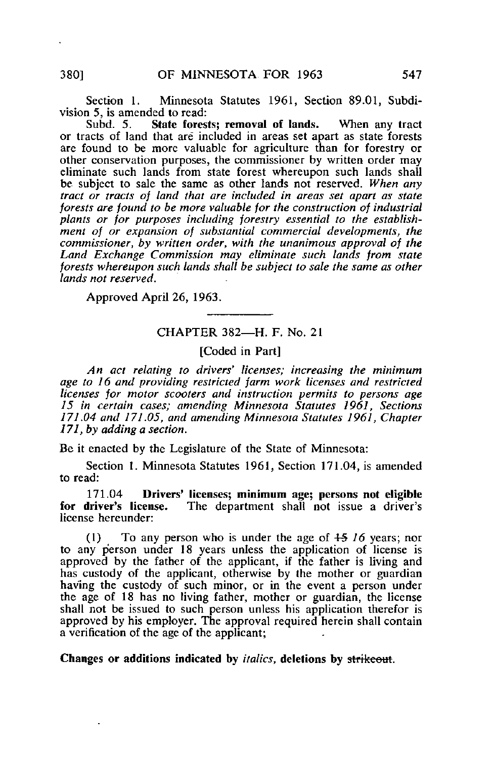Section 1. Minnesota Statutes 1961, Section 89.01, Subdivision 5, is amended to read:<br>Subd. 5. State fores

State forests; removal of lands. When any tract or tracts of land that are included in areas set apart as state forests are found to be more valuable for agriculture than for forestry or other conservation purposes, the commissioner by written order may eliminate such lands from state forest whereupon such lands shall be subject to sale the same as other lands not reserved. When any tract or tracts of land that are included in areas set apart as state forests are found to be more valuable for the construction of industrial plants or for purposes including forestry essential to the establishment of or expansion of substantial commercial developments, the commissioner, by written order, with the unanimous approval of the Land Exchange Commission may eliminate such lands from state forests whereupon such lands shall be subject to sale the same as other lands not reserved.

Approved April 26, 1963.

## CHAPTER 382—H. F. No. 21

[Coded in Part]

An act relating to drivers' licenses; increasing the minimum age to 16 and providing restricted farm work licenses and restricted licenses for motor scooters and instruction permits to persons age 15 in certain cases; amending Minnesota Statutes 1961, Sections 171.04 and 17LOS, and amending Minnesota Statutes 1961, Chapter 171, by adding a section.

Be it enacted by the Legislature of the State of Minnesota:

Section 1. Minnesota Statutes 1961, Section 171.04, is amended to read:

171.04 Drivers' licenses; minimum age; persons not eligible for driver's license. The department shall not issue a driver's The department shall not issue a driver's license hereunder:

(1) To any person who is under the age of  $\frac{15}{16}$  years; nor to any person under 18 years unless the application of license is approved by the father of the applicant, if the father is living and has custody of the applicant, otherwise by the mother or guardian having the custody of such minor, or in the event a person under the age of 18 has no living father, mother or guardian, the license shall not be issued to such person unless his application therefor is approved by his employer. The approval required herein shall contain a verification of the age of the applicant;

Changes or additions indicated by italics, deletions by strikeout.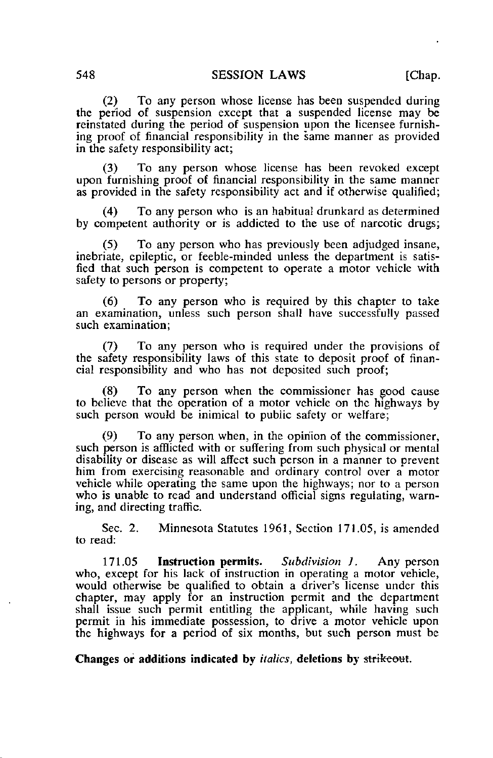(2) To any person whose license has been suspended during the period of suspension except that a suspended license may be reinstated during the period of suspension upon the licensee furnishing proof of financial responsibility in the same manner as provided in the safety responsibility act;

(3) To any person whose license has been revoked except upon furnishing proof of financial responsibility in the same manner as provided in the safety responsibility act and if otherwise qualified;

(4) To any person who is an habitual drunkard as determined by competent authority or is addicted to the use of narcotic drugs;

(5) To any person who has previously been adjudged insane, inebriate, epileptic, or feeble-minded unless the department is satisfied that such person is competent to operate a motor vehicle with safety to persons or property;

(6) To any person who is required by this chapter to take an examination, unless such person shall have successfully passed such examination;

(7) To any person who is required under the provisions of the safety responsibility laws of this state to deposit proof of financial responsibility and who has not deposited such proof;

(8) To any person when the commissioner has good cause to believe that the operation of a motor vehicle on the highways by such person would be inimical to public safety or welfare;

(9) To any person when, in the opinion of the commissioner, such person is afflicted with or suffering from such physical or mental disability or disease as will affect such person in a manner to prevent him from exercising reasonable and ordinary control over a motor vehicle while operating the same upon the highways; nor to a person who is unable to read and understand official signs regulating, warning, and directing traffic.

Sec. 2. Minnesota Statutes 1961, Section 171.05, is amended to read:

171.05 Instruction permits. Subdivision J. Any person who, except for his lack of instruction in operating a motor vehicle, would otherwise be qualified to obtain a driver's license under this chapter, may apply for an instruction permit and the department shall issue such permit entitling the applicant, while having such permit in his immediate possession, to drive a motor vehicle upon the highways for a period of six months, but such person must be

Changes or additions indicated by *italics*, deletions by strikeout.